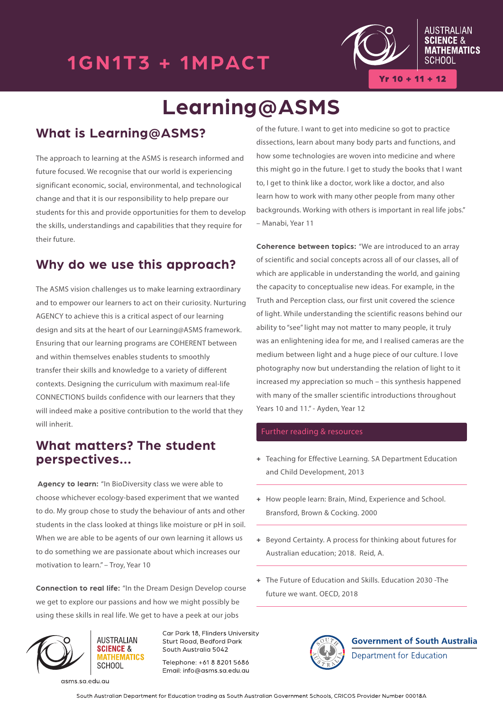### 1GN1T3 + 1MPACT



 $Yr 10 + 11 + 12$ 

# **Learning@ASMS**

### **What is Learning@ASMS?**

The approach to learning at the ASMS is research informed and future focused. We recognise that our world is experiencing significant economic, social, environmental, and technological change and that it is our responsibility to help prepare our students for this and provide opportunities for them to develop the skills, understandings and capabilities that they require for their future.

#### **Why do we use this approach?**

The ASMS vision challenges us to make learning extraordinary and to empower our learners to act on their curiosity. Nurturing AGENCY to achieve this is a critical aspect of our learning design and sits at the heart of our Learning@ASMS framework. Ensuring that our learning programs are COHERENT between and within themselves enables students to smoothly transfer their skills and knowledge to a variety of different contexts. Designing the curriculum with maximum real-life CONNECTIONS builds confidence with our learners that they will indeed make a positive contribution to the world that they will inherit.

#### **What matters? The student perspectives...**

**Agency to learn:** "In BioDiversity class we were able to choose whichever ecology-based experiment that we wanted to do. My group chose to study the behaviour of ants and other students in the class looked at things like moisture or pH in soil. When we are able to be agents of our own learning it allows us to do something we are passionate about which increases our motivation to learn." – Troy, Year 10

**Connection to real life:** "In the Dream Design Develop course we get to explore our passions and how we might possibly be using these skills in real life. We get to have a peek at our jobs



Car Park 18, Flinders University Sturt Road, Bedford Park South Australia 5042

Telephone: +61 8 8201 5686 Email: info@asms.sa.edu.au of the future. I want to get into medicine so got to practice dissections, learn about many body parts and functions, and how some technologies are woven into medicine and where this might go in the future. I get to study the books that I want to, I get to think like a doctor, work like a doctor, and also learn how to work with many other people from many other backgrounds. Working with others is important in real life jobs." – Manabi, Year 11

**Coherence between topics:** "We are introduced to an array of scientific and social concepts across all of our classes, all of which are applicable in understanding the world, and gaining the capacity to conceptualise new ideas. For example, in the Truth and Perception class, our first unit covered the science of light. While understanding the scientific reasons behind our ability to "see" light may not matter to many people, it truly was an enlightening idea for me, and I realised cameras are the medium between light and a huge piece of our culture. I love photography now but understanding the relation of light to it increased my appreciation so much – this synthesis happened with many of the smaller scientific introductions throughout Years 10 and 11." - Ayden, Year 12

#### Further reading & resources

- **+** Teaching for Effective Learning. SA Department Education and Child Development, 2013
- **+** How people learn: Brain, Mind, Experience and School. Bransford, Brown & Cocking. 2000
- **+** Beyond Certainty. A process for thinking about futures for Australian education; 2018. Reid, A.
- **+** The Future of Education and Skills. Education 2030 -The future we want. OECD, 2018



**Government of South Australia** Department for Education